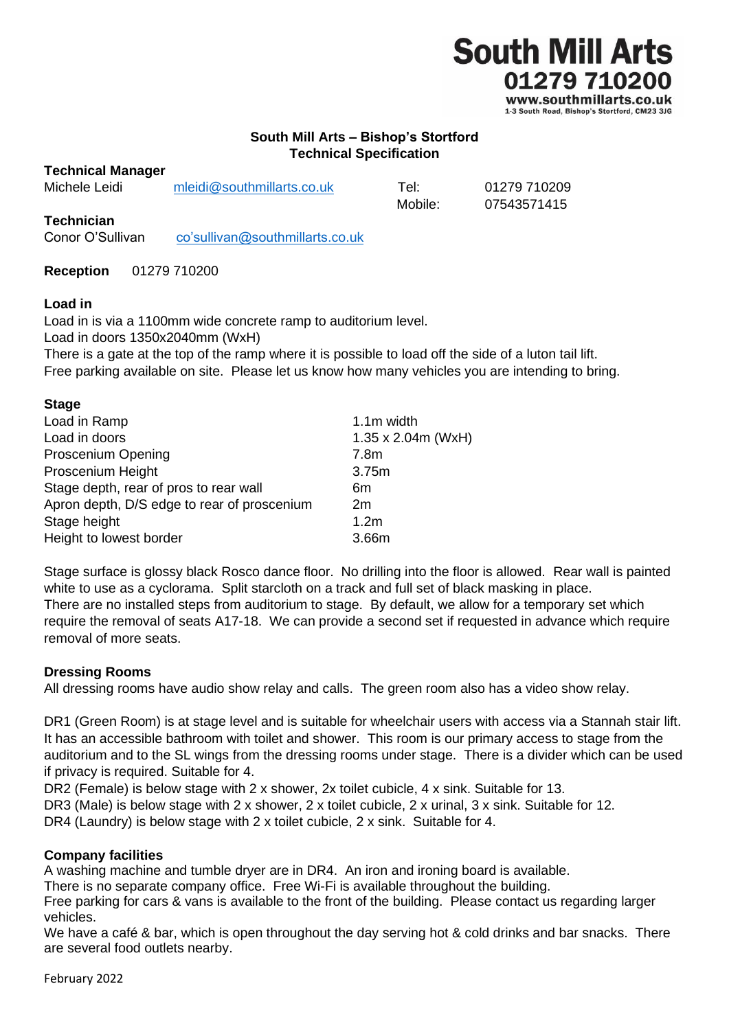

**South Mill Arts – Bishop's Stortford**

## **Technical Specification**

#### **Technical Manager**

| Michele Leidi | mleidi@southmillarts.co.uk | Tel:    | 01279 710209 |
|---------------|----------------------------|---------|--------------|
|               |                            | Mobile: | 07543571415  |

#### **Technician**

Conor O'Sullivan [co'sullivan@southmillarts.co.uk](mailto:co)

**Reception** 01279 710200

#### **Load in**

Load in is via a 1100mm wide concrete ramp to auditorium level. Load in doors 1350x2040mm (WxH) There is a gate at the top of the ramp where it is possible to load off the side of a luton tail lift.

Free parking available on site. Please let us know how many vehicles you are intending to bring.

| <b>Stage</b>                                |                            |
|---------------------------------------------|----------------------------|
| Load in Ramp                                | 1.1m width                 |
| Load in doors                               | $1.35 \times 2.04$ m (WxH) |
| Proscenium Opening                          | 7.8 <sub>m</sub>           |
| Proscenium Height                           | 3.75m                      |
| Stage depth, rear of pros to rear wall      | 6m                         |
| Apron depth, D/S edge to rear of proscenium | 2m                         |
| Stage height                                | 1.2 <sub>m</sub>           |
| Height to lowest border                     | 3.66m                      |
|                                             |                            |

Stage surface is glossy black Rosco dance floor. No drilling into the floor is allowed. Rear wall is painted white to use as a cyclorama. Split starcloth on a track and full set of black masking in place. There are no installed steps from auditorium to stage. By default, we allow for a temporary set which require the removal of seats A17-18. We can provide a second set if requested in advance which require removal of more seats.

## **Dressing Rooms**

All dressing rooms have audio show relay and calls. The green room also has a video show relay.

DR1 (Green Room) is at stage level and is suitable for wheelchair users with access via a Stannah stair lift. It has an accessible bathroom with toilet and shower. This room is our primary access to stage from the auditorium and to the SL wings from the dressing rooms under stage. There is a divider which can be used if privacy is required. Suitable for 4.

DR2 (Female) is below stage with 2 x shower, 2x toilet cubicle, 4 x sink. Suitable for 13. DR3 (Male) is below stage with 2 x shower, 2 x toilet cubicle, 2 x urinal, 3 x sink. Suitable for 12. DR4 (Laundry) is below stage with 2 x toilet cubicle, 2 x sink. Suitable for 4.

## **Company facilities**

A washing machine and tumble dryer are in DR4. An iron and ironing board is available.

There is no separate company office. Free Wi-Fi is available throughout the building.

Free parking for cars & vans is available to the front of the building. Please contact us regarding larger vehicles.

We have a café & bar, which is open throughout the day serving hot & cold drinks and bar snacks. There are several food outlets nearby.

February 2022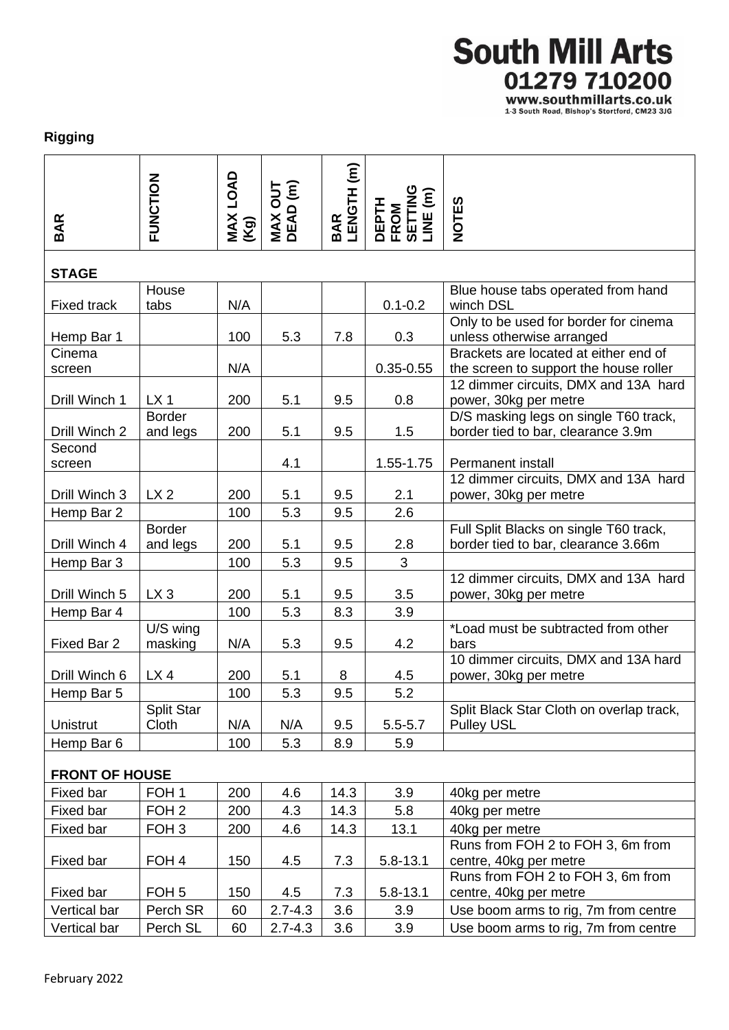# **South Mill Arts** 01279 710200

WWW.SOUthmillarts.co.uk<br>1-3 South Road, Bishop's Stortford, CM23 3JG

## **Rigging**

| BAR                   | FUNCTION            | MAX LOAD<br>(Kg) | <b>MAX OUT<br/>DEAD (m)</b> | BAR<br>LENGTH (m) | DEPTH<br>FROM<br>SETTING<br>LINE (m) | <b>NOTES</b>                                                       |  |  |  |
|-----------------------|---------------------|------------------|-----------------------------|-------------------|--------------------------------------|--------------------------------------------------------------------|--|--|--|
| <b>STAGE</b>          |                     |                  |                             |                   |                                      |                                                                    |  |  |  |
|                       | House               |                  |                             |                   |                                      | Blue house tabs operated from hand                                 |  |  |  |
| <b>Fixed track</b>    | tabs                | N/A              |                             |                   | $0.1 - 0.2$                          | winch DSL                                                          |  |  |  |
| Hemp Bar 1            |                     | 100              | 5.3                         | 7.8               | 0.3                                  | Only to be used for border for cinema<br>unless otherwise arranged |  |  |  |
| Cinema                |                     |                  |                             |                   |                                      | Brackets are located at either end of                              |  |  |  |
| screen                |                     | N/A              |                             |                   | $0.35 - 0.55$                        | the screen to support the house roller                             |  |  |  |
| Drill Winch 1         | LX <sub>1</sub>     | 200              | 5.1                         | 9.5               | 0.8                                  | 12 dimmer circuits, DMX and 13A hard<br>power, 30kg per metre      |  |  |  |
|                       | <b>Border</b>       |                  |                             |                   |                                      | D/S masking legs on single T60 track,                              |  |  |  |
| Drill Winch 2         | and legs            | 200              | 5.1                         | 9.5               | 1.5                                  | border tied to bar, clearance 3.9m                                 |  |  |  |
| Second                |                     |                  | 4.1                         |                   |                                      | <b>Permanent install</b>                                           |  |  |  |
| screen                |                     |                  |                             |                   | 1.55-1.75                            | 12 dimmer circuits, DMX and 13A hard                               |  |  |  |
| Drill Winch 3         | LX <sub>2</sub>     | 200              | 5.1                         | 9.5               | 2.1                                  | power, 30kg per metre                                              |  |  |  |
| Hemp Bar 2            |                     | 100              | 5.3                         | 9.5               | 2.6                                  |                                                                    |  |  |  |
|                       | <b>Border</b>       |                  |                             |                   |                                      | Full Split Blacks on single T60 track,                             |  |  |  |
| Drill Winch 4         | and legs            | 200              | 5.1                         | 9.5               | 2.8                                  | border tied to bar, clearance 3.66m                                |  |  |  |
| Hemp Bar 3            |                     | 100              | 5.3                         | 9.5               | 3                                    |                                                                    |  |  |  |
|                       |                     |                  |                             |                   |                                      | 12 dimmer circuits, DMX and 13A hard                               |  |  |  |
| Drill Winch 5         | $LX_3$              | 200              | 5.1                         | 9.5               | 3.5                                  | power, 30kg per metre                                              |  |  |  |
| Hemp Bar 4            |                     | 100              | 5.3                         | 8.3               | 3.9                                  |                                                                    |  |  |  |
| Fixed Bar 2           | U/S wing<br>masking | N/A              | 5.3                         | 9.5               | 4.2                                  | *Load must be subtracted from other<br>bars                        |  |  |  |
|                       |                     |                  |                             |                   |                                      | 10 dimmer circuits, DMX and 13A hard                               |  |  |  |
| Drill Winch 6         | $LX$ 4              | 200              | 5.1                         | 8                 | 4.5                                  | power, 30kg per metre                                              |  |  |  |
| Hemp Bar 5            |                     | 100              | 5.3                         | 9.5               | 5.2                                  |                                                                    |  |  |  |
|                       | Split Star          |                  |                             |                   |                                      | Split Black Star Cloth on overlap track,                           |  |  |  |
| <b>Unistrut</b>       | Cloth               | N/A              | N/A                         | 9.5               | $5.5 - 5.7$                          | <b>Pulley USL</b>                                                  |  |  |  |
| Hemp Bar 6            |                     | 100              | 5.3                         | 8.9               | 5.9                                  |                                                                    |  |  |  |
| <b>FRONT OF HOUSE</b> |                     |                  |                             |                   |                                      |                                                                    |  |  |  |
| Fixed bar             | FOH <sub>1</sub>    | 200              | 4.6                         | 14.3              | 3.9                                  | 40kg per metre                                                     |  |  |  |
| Fixed bar             | FOH <sub>2</sub>    | 200              | 4.3                         | 14.3              | 5.8                                  | 40kg per metre                                                     |  |  |  |
| Fixed bar             | FOH <sub>3</sub>    | 200              | 4.6                         | 14.3              | 13.1                                 | 40kg per metre                                                     |  |  |  |
|                       |                     |                  |                             |                   |                                      | Runs from FOH 2 to FOH 3, 6m from                                  |  |  |  |
| Fixed bar             | FOH 4               | 150              | 4.5                         | 7.3               | 5.8-13.1                             | centre, 40kg per metre                                             |  |  |  |
|                       |                     |                  |                             |                   |                                      | Runs from FOH 2 to FOH 3, 6m from                                  |  |  |  |
| Fixed bar             | FOH <sub>5</sub>    | 150              | 4.5                         | 7.3               | $5.8 - 13.1$                         | centre, 40kg per metre                                             |  |  |  |
| Vertical bar          | Perch SR            | 60               | $2.7 - 4.3$                 | 3.6               | 3.9                                  | Use boom arms to rig, 7m from centre                               |  |  |  |
| Vertical bar          | Perch SL            | 60               | $2.7 - 4.3$                 | 3.6               | 3.9                                  | Use boom arms to rig, 7m from centre                               |  |  |  |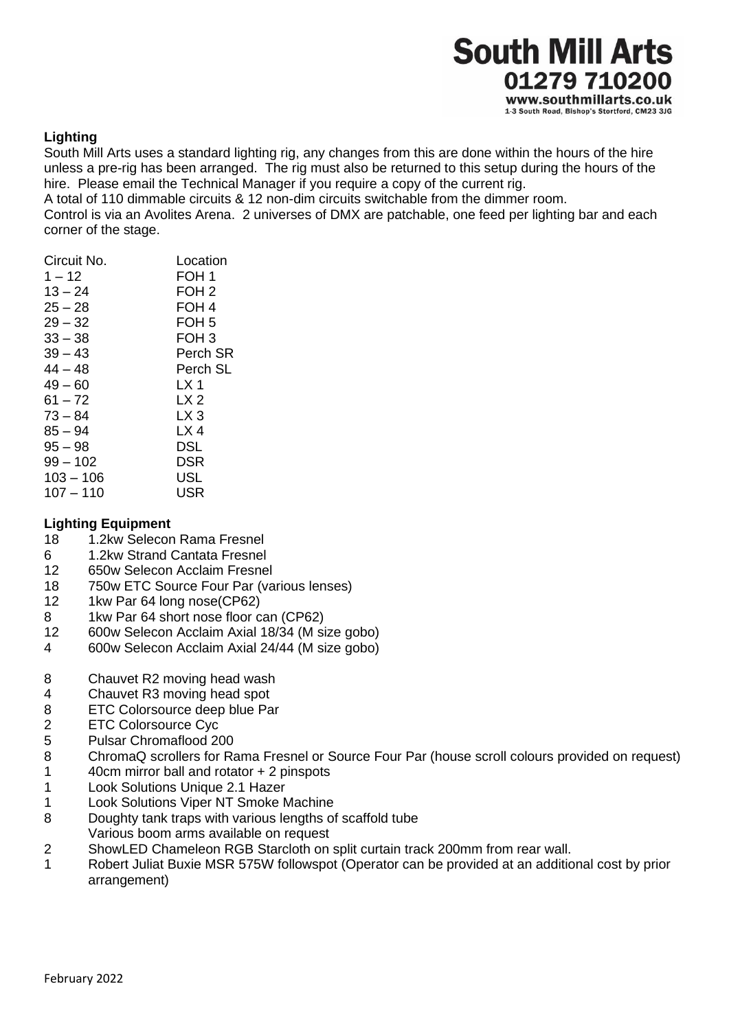

## **Lighting**

South Mill Arts uses a standard lighting rig, any changes from this are done within the hours of the hire unless a pre-rig has been arranged. The rig must also be returned to this setup during the hours of the hire. Please email the Technical Manager if you require a copy of the current rig.

A total of 110 dimmable circuits & 12 non-dim circuits switchable from the dimmer room. Control is via an Avolites Arena. 2 universes of DMX are patchable, one feed per lighting bar and each corner of the stage.

| Circuit No. | Location         |
|-------------|------------------|
| $1 - 12$    | FOH 1            |
| $13 - 24$   | FOH 2            |
| 25 – 28     | FOH 4            |
| $29 - 32$   | FOH <sub>5</sub> |
| $33 - 38$   | FOH 3            |
| $39 - 43$   | Perch SR         |
| 44 – 48     | Perch SL         |
| 49 – 60     | LX 1             |
| 61 – 72     | LX <sub>2</sub>  |
| $73 - 84$   | LX 3             |
| $85 - 94$   | LX 4             |
| $95 - 98$   | DSL              |
| 99 – 102    | DSR              |
| $103 - 106$ | USL              |
| $107 - 110$ | USR              |
|             |                  |

## **Lighting Equipment**

- 18 1.2kw Selecon Rama Fresnel
- 6 1.2kw Strand Cantata Fresnel
- 12 650w Selecon Acclaim Fresnel
- 18 750w ETC Source Four Par (various lenses)
- 12 1kw Par 64 long nose(CP62)
- 8 1kw Par 64 short nose floor can (CP62)
- 12 600w Selecon Acclaim Axial 18/34 (M size gobo)
- 4 600w Selecon Acclaim Axial 24/44 (M size gobo)
- 8 Chauvet R2 moving head wash
- 4 Chauvet R3 moving head spot
- 8 ETC Colorsource deep blue Par
- 2 ETC Colorsource Cyc
- 5 Pulsar Chromaflood 200
- 8 ChromaQ scrollers for Rama Fresnel or Source Four Par (house scroll colours provided on request) 1 40cm mirror ball and rotator + 2 pinspots
- 
- 1 Look Solutions Unique 2.1 Hazer
- 1 Look Solutions Viper NT Smoke Machine
- 8 Doughty tank traps with various lengths of scaffold tube Various boom arms available on request
- 2 ShowLED Chameleon RGB Starcloth on split curtain track 200mm from rear wall.
- 1 Robert Juliat Buxie MSR 575W followspot (Operator can be provided at an additional cost by prior arrangement)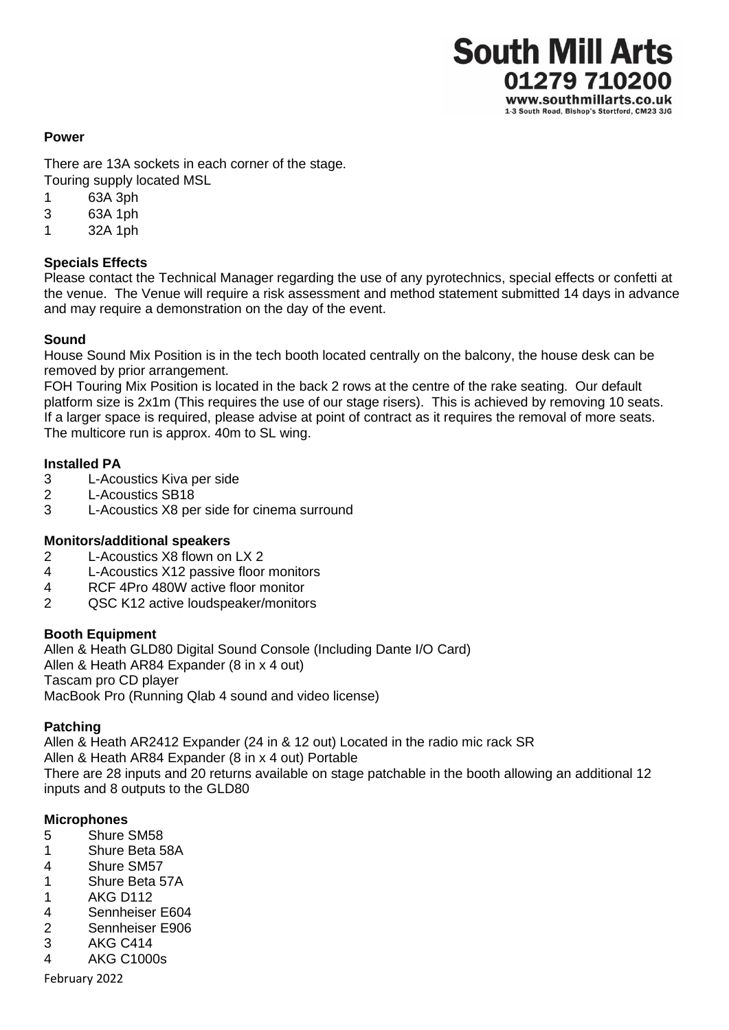

#### **Power**

There are 13A sockets in each corner of the stage. Touring supply located MSL

- 1 63A 3ph
- 3 63A 1ph
- 1 32A 1ph

## **Specials Effects**

Please contact the Technical Manager regarding the use of any pyrotechnics, special effects or confetti at the venue. The Venue will require a risk assessment and method statement submitted 14 days in advance and may require a demonstration on the day of the event.

## **Sound**

House Sound Mix Position is in the tech booth located centrally on the balcony, the house desk can be removed by prior arrangement.

FOH Touring Mix Position is located in the back 2 rows at the centre of the rake seating. Our default platform size is 2x1m (This requires the use of our stage risers). This is achieved by removing 10 seats. If a larger space is required, please advise at point of contract as it requires the removal of more seats. The multicore run is approx. 40m to SL wing.

## **Installed PA**

- 3 L-Acoustics Kiva per side
- 2 L-Acoustics SB18
- 3 L-Acoustics X8 per side for cinema surround

## **Monitors/additional speakers**

- 2 L-Acoustics X8 flown on LX 2
- 4 L-Acoustics X12 passive floor monitors
- 4 RCF 4Pro 480W active floor monitor
- 2 QSC K12 active loudspeaker/monitors

## **Booth Equipment**

Allen & Heath GLD80 Digital Sound Console (Including Dante I/O Card) Allen & Heath AR84 Expander (8 in x 4 out) Tascam pro CD player MacBook Pro (Running Qlab 4 sound and video license)

## **Patching**

Allen & Heath AR2412 Expander (24 in & 12 out) Located in the radio mic rack SR Allen & Heath AR84 Expander (8 in x 4 out) Portable There are 28 inputs and 20 returns available on stage patchable in the booth allowing an additional 12 inputs and 8 outputs to the GLD80

## **Microphones**

- 5 Shure SM58
- 1 Shure Beta 58A
- 4 Shure SM57
- 1 Shure Beta 57A
- 1 AKG D112
- 4 Sennheiser E604
- 2 Sennheiser E906
- 3 AKG C414
- 4 AKG C1000s

February 2022